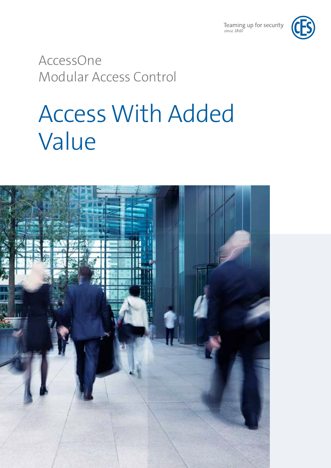

AccessOne Modular Access Control

# Access With Added Value

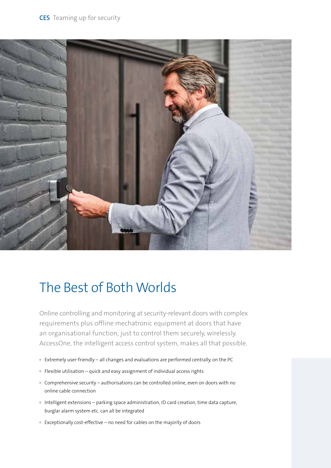

### The Best of Both Worlds

Online controlling and monitoring at security-relevant doors with complex requirements plus offline mechatronic equipment at doors that have an organisational function, just to control them securely, wirelessly. AccessOne, the intelligent access control system, makes all that possible.

- Extremely user-friendly all changes and evaluations are performed centrally, on the PC
- $\blacksquare$  Flexible utilisation quick and easy assignment of individual access rights
- Comprehensive security authorisations can be controlled online, even on doors with no online cable connection
- Intelligent extensions parking space administration, ID card creation, time data capture, burglar alarm system etc. can all be integrated
- $\blacksquare$  Exceptionally cost-effective no need for cables on the majority of doors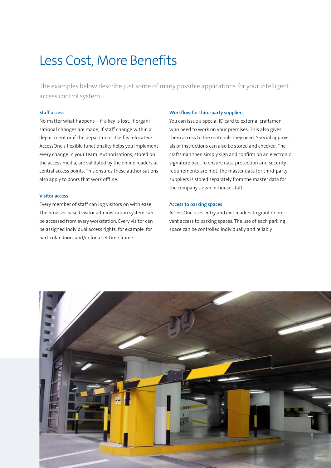### Less Cost, More Benefits

The examples below describe just some of many possible applications for your intelligent access control system.

#### **Staff access**

No matter what happens – if a key is lost, if organisational changes are made, if staff change within a department or if the department itself is relocated: AccessOne's flexible functionality helps you implement every change in your team. Authorisations, stored on the access media, are validated by the online readers at central access points. This ensures these authorisations also apply to doors that work offline.

#### **Visitor access**

Every member of staff can log visitors on with ease: The browser-based visitor administration system can be accessed from every workstation. Every visitor can be assigned individual access rights, for example, for particular doors and/or for a set time frame.

#### **Workflow for third-party suppliers**

You can issue a special ID card to external craftsmen who need to work on your premises. This also gives them access to the materials they need. Special approvals or instructions can also be stored and checked. The craftsman then simply sign and confirm on an electronic signature pad. To ensure data protection and security requirements are met, the master data for third-party suppliers is stored separately from the master data for the company's own in-house staff.

#### **Access to parking spaces**

AccessOne uses entry and exit readers to grant or prevent access to parking spaces. The use of each parking space can be controlled individually and reliably.

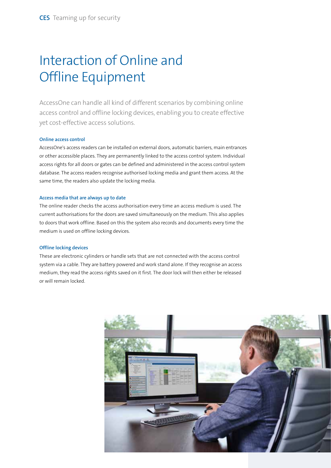### Interaction of Online and Offline Equipment

AccessOne can handle all kind of different scenarios by combining online access control and offline locking devices, enabling you to create effective yet cost-effective access solutions.

#### **Online access control**

AccessOne's access readers can be installed on external doors, automatic barriers, main entrances or other accessible places. They are permanently linked to the access control system. Individual access rights for all doors or gates can be defined and administered in the access control system database. The access readers recognise authorised locking media and grant them access. At the same time, the readers also update the locking media.

#### **Access media that are always up to date**

The online reader checks the access authorisation every time an access medium is used. The current authorisations for the doors are saved simultaneously on the medium. This also applies to doors that work offline. Based on this the system also records and documents every time the medium is used on offline locking devices.

#### **Offline locking devices**

These are electronic cylinders or handle sets that are not connected with the access control system via a cable. They are battery powered and work stand alone. If they recognise an access medium, they read the access rights saved on it first. The door lock will then either be released or will remain locked.

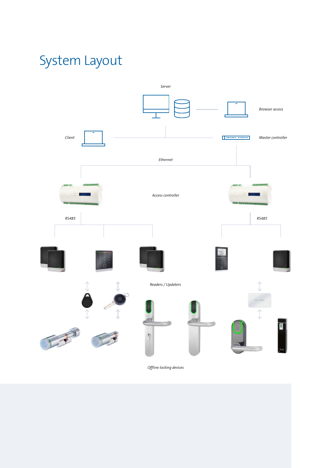## System Layout



*Offline locking devices*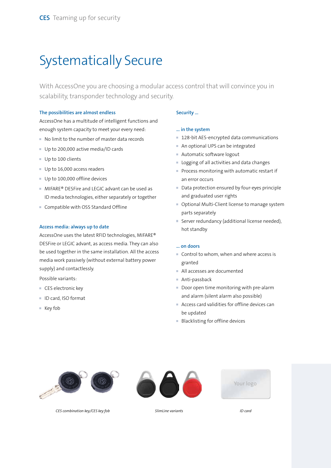### Systematically Secure

With AccessOne you are choosing a modular access control that will convince you in scalability, transponder technology and security.

#### **The possibilities are almost endless**

AccessOne has a multitude of intelligent functions and enough system capacity to meet your every need:

- No limit to the number of master data records
- Up to 200,000 active media/ID cards
- Up to 100 clients
- Up to 16,000 access readers
- Up to 100,000 offline devices
- MIFARE® DESFire and LEGIC advant can be used as ID media technologies, either separately or together
- Compatible with OSS Standard Offline

#### **Access media: always up to date**

AccessOne uses the latest RFID technologies, MIFARE® DESFire or LEGIC advant, as access media. They can also be used together in the same installation. All the access media work passively (without external battery power supply) and contactlessly.

Possible variants:

- CES electronic key
- ID card, ISO format
- $\blacksquare$  Key fob

#### **Security ...**

#### **... in the system**

- 128-bit AES-encrypted data communications
- An optional UPS can be integrated
- Automatic software logout
- Logging of all activities and data changes
- Process monitoring with automatic restart if an error occurs
- Data protection ensured by four-eyes principle and graduated user rights
- Optional Multi-Client license to manage system parts separately
- Server redundancy (additional license needed), hot standby

#### **... on doors**

- Control to whom, when and where access is granted
- All accesses are documented
- Anti-passback
- Door open time monitoring with pre-alarm and alarm (silent alarm also possible)
- Access card validities for offline devices can be updated
- **Blacklisting for offline devices**



*CES combination key/CES key fob SlimLine variants ID card*



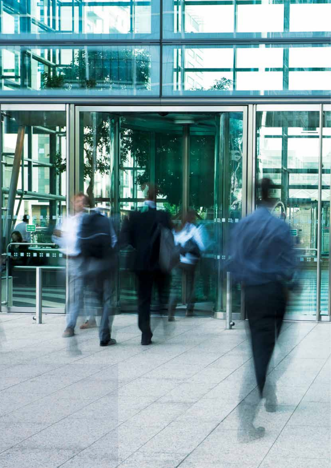